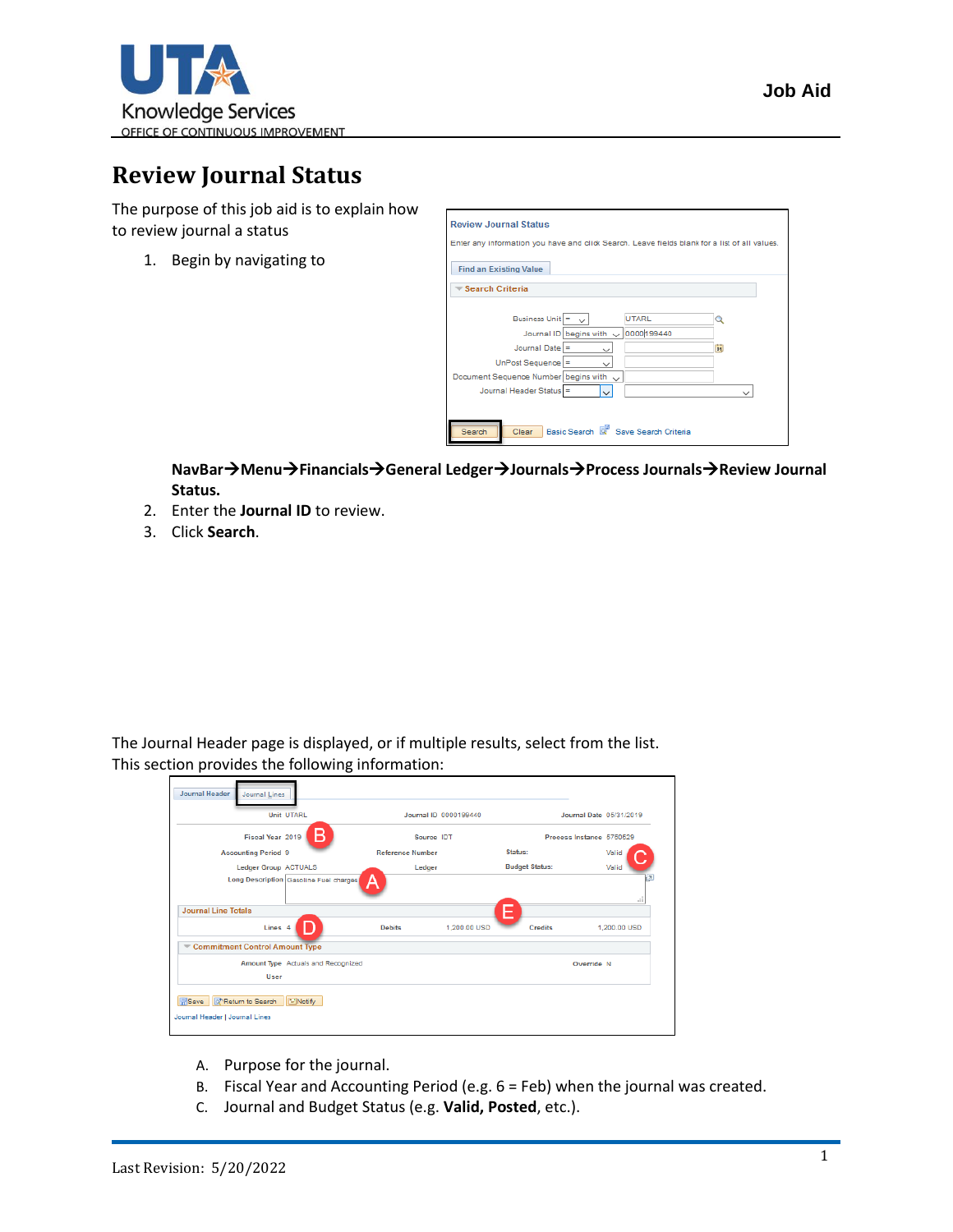

## **Review Journal Status**

The purpose of this job aid is to explain how to review journal a status

1. Begin by navigating to

| <b>Find an Existing Value</b>           |              |
|-----------------------------------------|--------------|
| <b>Search Criteria</b>                  |              |
| Business Unit $=$ $\sim$<br>UTARL       |              |
| Journal ID begins with v 00000199440    |              |
| Journal Date $=$                        | 31           |
| $UnPost Sequence$ =<br>u                |              |
| Document Sequence Number begins with v  |              |
| Journal Header Status =<br>$\checkmark$ | $\checkmark$ |

**NavBar**→**Menu**→**Financials**→**General Ledger**→**Journals**→**Process Journals**→**Review Journal Status.**

- 2. Enter the **Journal ID** to review.
- 3. Click **Search**.

The Journal Header page is displayed, or if multiple results, select from the list. This section provides the following information:

|                                      | <b>Unit UTARL</b>                      |                         | Journal ID 0000199440 | Journal Date 05/31/2019  |                              |
|--------------------------------------|----------------------------------------|-------------------------|-----------------------|--------------------------|------------------------------|
| Fiscal Year 2019                     | B                                      | Source IDT              |                       | Process Instance 5750529 |                              |
| <b>Accounting Period 9</b>           |                                        | <b>Reference Number</b> |                       | Status:                  | Valid                        |
| <b>Ledger Group ACTUALS</b>          |                                        | Ledger                  |                       | <b>Budget Status:</b>    | Valid                        |
|                                      | Long Description Gasoline Fuel charges | A                       |                       |                          | $\overline{\phantom{a}}$<br> |
| <b>Journal Line Totals</b>           |                                        |                         | E                     |                          |                              |
| Lines <sub>4</sub>                   |                                        | <b>Debits</b>           | 1.200.00 USD          | <b>Credits</b>           | 1.200.00 USD                 |
| Commitment Control Amount Type       |                                        |                         |                       |                          |                              |
| User                                 | Amount Type Actuals and Recognized     |                         |                       | Override N               |                              |
| <b>H</b> Save<br>of Return to Search | Motify                                 |                         |                       |                          |                              |

- A. Purpose for the journal.
- B. Fiscal Year and Accounting Period (e.g. 6 = Feb) when the journal was created.
- C. Journal and Budget Status (e.g. **Valid, Posted**, etc.).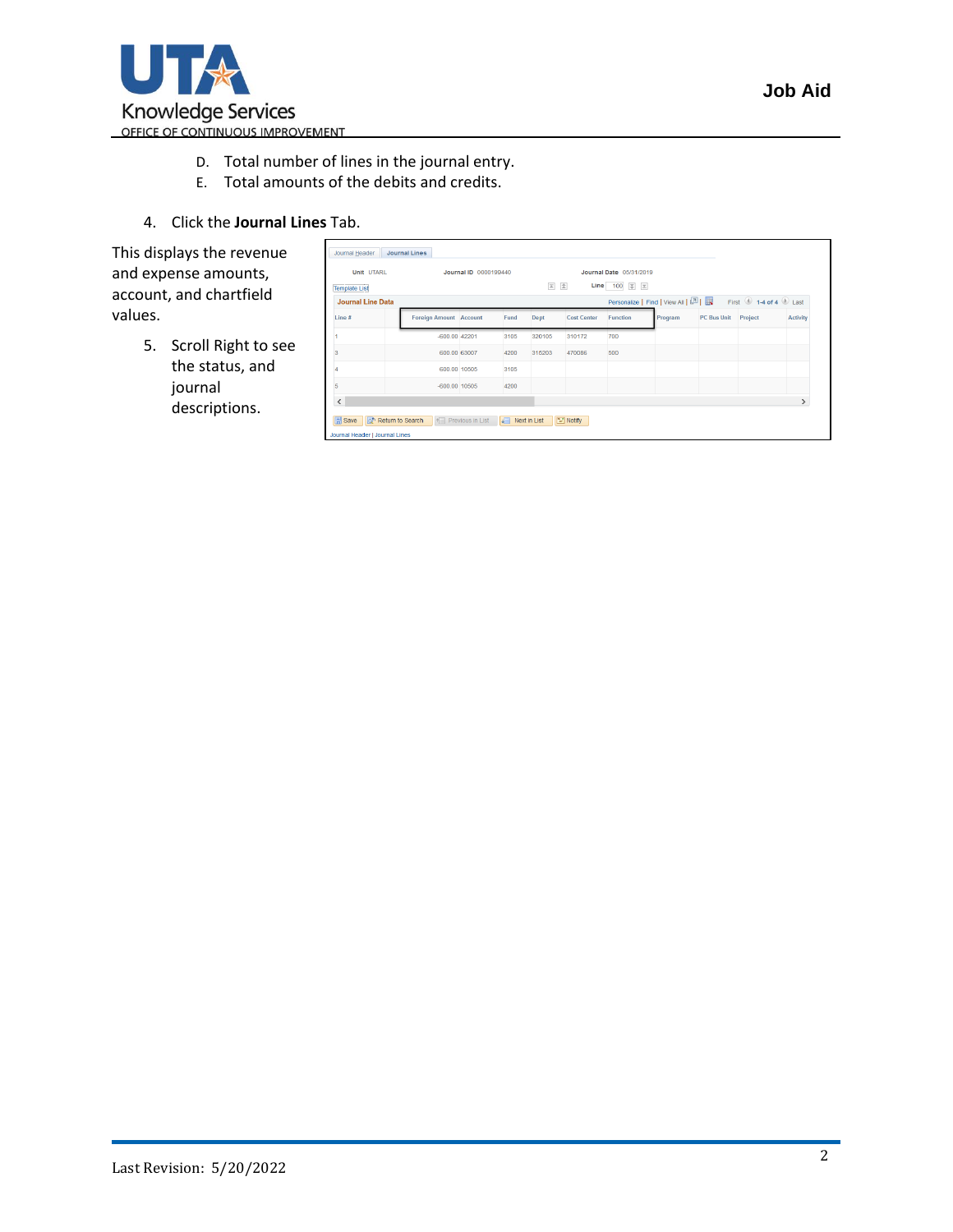

- D. Total number of lines in the journal entry.
- E. Total amounts of the debits and credits.

 $\Box$ 

4. Click the **Journal Lines** Tab.

This displays the revenue and expense amounts, account, and chartfield values.

> 5. Scroll Right to see the status, and journal descriptions.

| ------------------<br><b>Template List</b> |                               | $\overline{\underline{\pi}}$ | $\triangle$<br>Line 100 $\overline{z}$ $\overline{z}$ |                    |          |                                   |                    |                                           |                 |
|--------------------------------------------|-------------------------------|------------------------------|-------------------------------------------------------|--------------------|----------|-----------------------------------|--------------------|-------------------------------------------|-----------------|
| <b>Journal Line Data</b>                   |                               |                              |                                                       |                    |          | Personalize   Find   View All   2 |                    | First $\bigcirc$ 1-4 of 4 $\bigcirc$ Last |                 |
| Line $#$                                   | <b>Foreign Amount Account</b> | Fund                         | Dept                                                  | <b>Cost Center</b> | Function | Program                           | <b>PC Bus Unit</b> | Project                                   | <b>Activity</b> |
|                                            | $-600.00$ 42201               | 3105                         | 320105                                                | 310172             | 700      |                                   |                    |                                           |                 |
| 3                                          | 600.00 63007                  | 4200                         | 315203                                                | 470086             | 500      |                                   |                    |                                           |                 |
|                                            | 600.00 10505                  | 3105                         |                                                       |                    |          |                                   |                    |                                           |                 |
| 5                                          | $-600.00$ 10505               | 4200                         |                                                       |                    |          |                                   |                    |                                           |                 |
| $\checkmark$                               |                               |                              |                                                       |                    |          |                                   |                    |                                           | $\rightarrow$   |